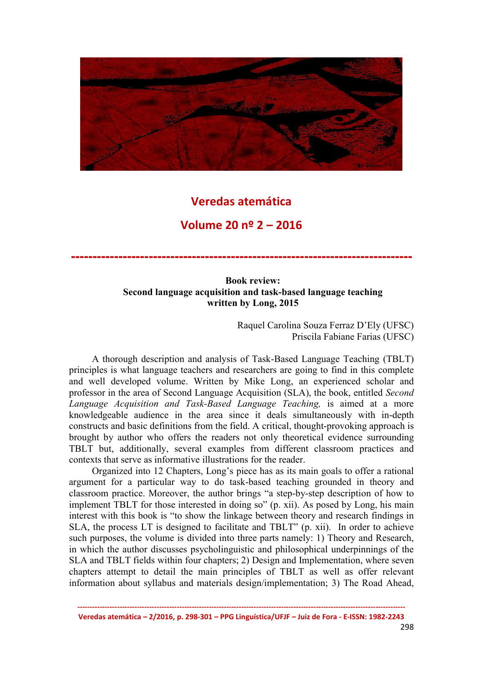

## Veredas atemática

## Volume 20 nº 2 – 2016

-------------------------------------------------------------------------------

## Book review: Second language acquisition and task-based language teaching written by Long, 2015

Raquel Carolina Souza Ferraz D'Ely (UFSC) Priscila Fabiane Farias (UFSC)

A thorough description and analysis of Task-Based Language Teaching (TBLT) principles is what language teachers and researchers are going to find in this complete and well developed volume. Written by Mike Long, an experienced scholar and professor in the area of Second Language Acquisition (SLA), the book, entitled *Second Language Acquisition and Task-Based Language Teaching,* is aimed at a more knowledgeable audience in the area since it deals simultaneously with in-depth constructs and basic definitions from the field. A critical, thought-provoking approach is brought by author who offers the readers not only theoretical evidence surrounding TBLT but, additionally, several examples from different classroom practices and contexts that serve as informative illustrations for the reader.

Organized into 12 Chapters, Long's piece has as its main goals to offer a rational argument for a particular way to do task-based teaching grounded in theory and classroom practice. Moreover, the author brings "a step-by-step description of how to implement TBLT for those interested in doing so" (p. xii). As posed by Long, his main interest with this book is "to show the linkage between theory and research findings in SLA, the process LT is designed to facilitate and TBLT" (p. xii). In order to achieve such purposes, the volume is divided into three parts namely: 1) Theory and Research, in which the author discusses psycholinguistic and philosophical underpinnings of the SLA and TBLT fields within four chapters; 2) Design and Implementation, where seven chapters attempt to detail the main principles of TBLT as well as offer relevant information about syllabus and materials design/implementation; 3) The Road Ahead,

------------------------------------------------------------------------------------------------------------------------------------ Veredas atemática – 2/2016, p. 298-301 – PPG Linguística/UFJF – Juiz de Fora - E-ISSN: 1982-2243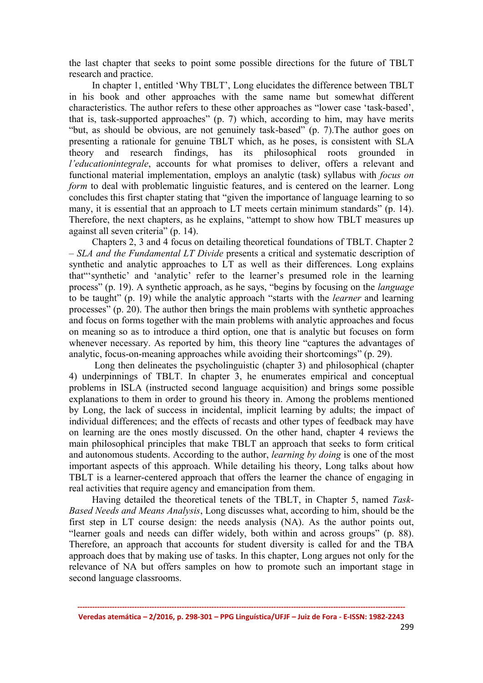the last chapter that seeks to point some possible directions for the future of TBLT research and practice.

In chapter 1, entitled 'Why TBLT', Long elucidates the difference between TBLT in his book and other approaches with the same name but somewhat different characteristics. The author refers to these other approaches as "lower case 'task-based', that is, task-supported approaches" (p. 7) which, according to him, may have merits "but, as should be obvious, are not genuinely task-based" (p. 7).The author goes on presenting a rationale for genuine TBLT which, as he poses, is consistent with SLA theory and research findings, has its philosophical roots grounded *l'educationintegrale*, accounts for what promises to deliver, offers a relevant and functional material implementation, employs an analytic (task) syllabus with *focus on form* to deal with problematic linguistic features, and is centered on the learner. Long concludes this first chapter stating that "given the importance of language learning to so many, it is essential that an approach to LT meets certain minimum standards" (p. 14). Therefore, the next chapters, as he explains, "attempt to show how TBLT measures up against all seven criteria" (p. 14).

Chapters 2, 3 and 4 focus on detailing theoretical foundations of TBLT. Chapter 2 – *SLA and the Fundamental LT Divide* presents a critical and systematic description of synthetic and analytic approaches to LT as well as their differences. Long explains that"'synthetic' and 'analytic' refer to the learner's presumed role in the learning process" (p. 19). A synthetic approach, as he says, "begins by focusing on the *language*  to be taught" (p. 19) while the analytic approach "starts with the *learner* and learning processes" (p. 20). The author then brings the main problems with synthetic approaches and focus on forms together with the main problems with analytic approaches and focus on meaning so as to introduce a third option, one that is analytic but focuses on form whenever necessary. As reported by him, this theory line "captures the advantages of analytic, focus-on-meaning approaches while avoiding their shortcomings" (p. 29).

Long then delineates the psycholinguistic (chapter 3) and philosophical (chapter 4) underpinnings of TBLT. In chapter 3, he enumerates empirical and conceptual problems in ISLA (instructed second language acquisition) and brings some possible explanations to them in order to ground his theory in. Among the problems mentioned by Long, the lack of success in incidental, implicit learning by adults; the impact of individual differences; and the effects of recasts and other types of feedback may have on learning are the ones mostly discussed. On the other hand, chapter 4 reviews the main philosophical principles that make TBLT an approach that seeks to form critical and autonomous students. According to the author, *learning by doing* is one of the most important aspects of this approach. While detailing his theory, Long talks about how TBLT is a learner-centered approach that offers the learner the chance of engaging in real activities that require agency and emancipation from them.

Having detailed the theoretical tenets of the TBLT, in Chapter 5, named *Task-Based Needs and Means Analysis*, Long discusses what, according to him, should be the first step in LT course design: the needs analysis (NA). As the author points out, "learner goals and needs can differ widely, both within and across groups" (p. 88). Therefore, an approach that accounts for student diversity is called for and the TBA approach does that by making use of tasks. In this chapter, Long argues not only for the relevance of NA but offers samples on how to promote such an important stage in second language classrooms.

------------------------------------------------------------------------------------------------------------------------------------ Veredas atemática – 2/2016, p. 298-301 – PPG Linguística/UFJF – Juiz de Fora - E-ISSN: 1982-2243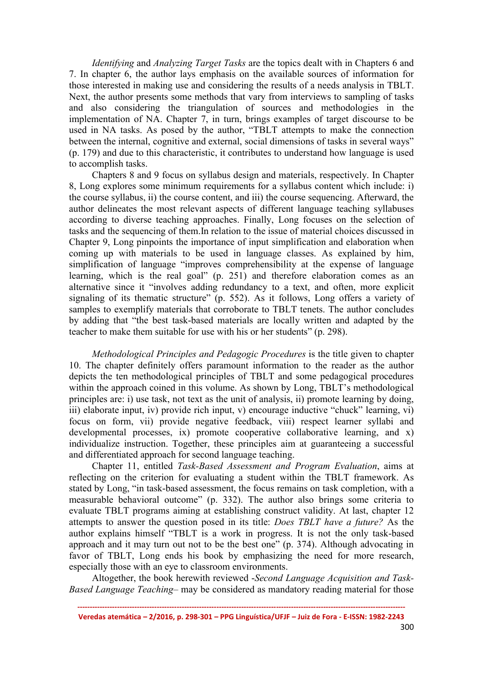*Identifying* and *Analyzing Target Tasks* are the topics dealt with in Chapters 6 and 7. In chapter 6, the author lays emphasis on the available sources of information for those interested in making use and considering the results of a needs analysis in TBLT. Next, the author presents some methods that vary from interviews to sampling of tasks and also considering the triangulation of sources and methodologies in the implementation of NA. Chapter 7, in turn, brings examples of target discourse to be used in NA tasks. As posed by the author, "TBLT attempts to make the connection between the internal, cognitive and external, social dimensions of tasks in several ways" (p. 179) and due to this characteristic, it contributes to understand how language is used to accomplish tasks.

Chapters 8 and 9 focus on syllabus design and materials, respectively. In Chapter 8, Long explores some minimum requirements for a syllabus content which include: i) the course syllabus, ii) the course content, and iii) the course sequencing. Afterward, the author delineates the most relevant aspects of different language teaching syllabuses according to diverse teaching approaches. Finally, Long focuses on the selection of tasks and the sequencing of them.In relation to the issue of material choices discussed in Chapter 9, Long pinpoints the importance of input simplification and elaboration when coming up with materials to be used in language classes. As explained by him, simplification of language "improves comprehensibility at the expense of language learning, which is the real goal" (p. 251) and therefore elaboration comes as an alternative since it "involves adding redundancy to a text, and often, more explicit signaling of its thematic structure" (p. 552). As it follows, Long offers a variety of samples to exemplify materials that corroborate to TBLT tenets. The author concludes by adding that "the best task-based materials are locally written and adapted by the teacher to make them suitable for use with his or her students" (p. 298).

*Methodological Principles and Pedagogic Procedures* is the title given to chapter 10. The chapter definitely offers paramount information to the reader as the author depicts the ten methodological principles of TBLT and some pedagogical procedures within the approach coined in this volume. As shown by Long, TBLT's methodological principles are: i) use task, not text as the unit of analysis, ii) promote learning by doing, iii) elaborate input, iv) provide rich input, v) encourage inductive "chuck" learning, vi) focus on form, vii) provide negative feedback, viii) respect learner syllabi and developmental processes, ix) promote cooperative collaborative learning, and x) individualize instruction. Together, these principles aim at guaranteeing a successful and differentiated approach for second language teaching.

Chapter 11, entitled *Task-Based Assessment and Program Evaluation*, aims at reflecting on the criterion for evaluating a student within the TBLT framework. As stated by Long, "in task-based assessment, the focus remains on task completion, with a measurable behavioral outcome" (p. 332). The author also brings some criteria to evaluate TBLT programs aiming at establishing construct validity. At last, chapter 12 attempts to answer the question posed in its title: *Does TBLT have a future?* As the author explains himself "TBLT is a work in progress. It is not the only task-based approach and it may turn out not to be the best one" (p. 374). Although advocating in favor of TBLT, Long ends his book by emphasizing the need for more research, especially those with an eye to classroom environments.

Altogether, the book herewith reviewed -*Second Language Acquisition and Task-Based Language Teaching*– may be considered as mandatory reading material for those

<sup>------------------------------------------------------------------------------------------------------------------------------------</sup> Veredas atemática – 2/2016, p. 298-301 – PPG Linguística/UFJF – Juiz de Fora - E-ISSN: 1982-2243